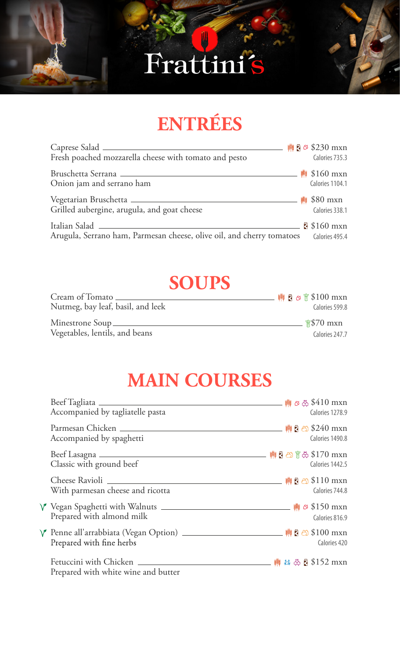# Frattini´ s



## **ENTRÉES**

| Fresh poached mozzarella cheese with tomato and pesto                                    | $\frac{1}{2}$ ₹ 230 mxn<br>Calories 735.3      |
|------------------------------------------------------------------------------------------|------------------------------------------------|
| Onion jam and serrano ham                                                                | <b>W</b> \$160 mxn<br>Calories 1104.1          |
| Vegetarian Bruschetta ______________<br>Grilled aubergine, arugula, and goat cheese      | <sup>     </sup>    \$80 mxn<br>Calories 338.1 |
| Italian Salad _<br>Arugula, Serrano ham, Parmesan cheese, olive oil, and cherry tomatoes | $$160$ mxn<br>Calories 495.4                   |

#### **SOUPS**

| Cream of Tomato                   | $\frac{1}{2}$ ₹ ∞ $\frac{1}{2}$ \$100 mxn |
|-----------------------------------|-------------------------------------------|
| Nutmeg, bay leaf, basil, and leek | Calories 599.8                            |
| Minestrone Soup_                  | $\frac{\text{m}}{\text{m}}$ \$70 mxn      |
| Vegetables, lentils, and beans    | Calories 247.7                            |

### **MAIN COURSES**

| Accompanied by tagliatelle pasta                                                                                              |  | Calories 1278.9 |
|-------------------------------------------------------------------------------------------------------------------------------|--|-----------------|
| Accompanied by spaghetti                                                                                                      |  | Calories 1490.8 |
| Classic with ground beef                                                                                                      |  | Calories 1442.5 |
| With parmesan cheese and ricotta                                                                                              |  | Calories 744.8  |
| V Vegan Spaghetti with Walnuts <u>_________________________________</u> <sub>ᄤ</sub> ⊗ \$150 mxn<br>Prepared with almond milk |  | Calories 816.9  |
| γ Penne all'arrabbiata (Vegan Option) ____________________________       【 හි \$100 mxn<br>Prepared with fine herbs           |  | Calories 420    |
| Prepared with white wine and butter                                                                                           |  |                 |